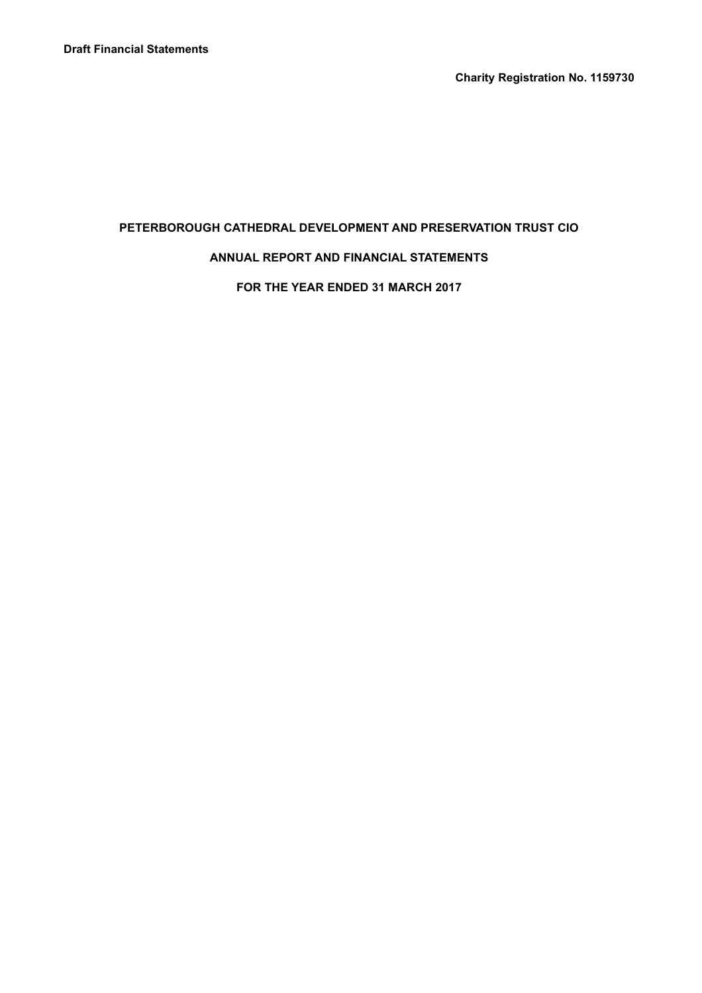Charity Registration No. 1159730

# PETERBOROUGH CATHEDRAL DEVELOPMENT AND PRESERVATION TRUST CIO

### ANNUAL REPORT AND FINANCIAL STATEMENTS

FOR THE YEAR ENDED 31 MARCH 2017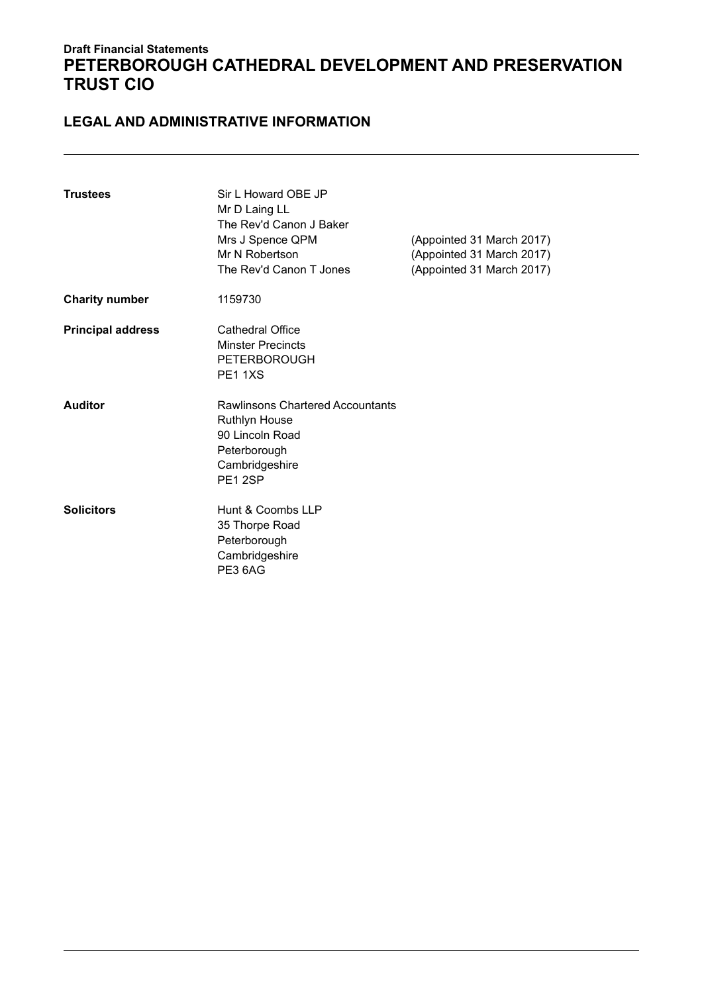### LEGAL AND ADMINISTRATIVE INFORMATION

| <b>Trustees</b>          | Sir L Howard OBE JP<br>Mr D Laing LL<br>The Rev'd Canon J Baker<br>Mrs J Spence QPM<br>Mr N Robertson<br>The Rev'd Canon T Jones | (Appointed 31 March 2017)<br>(Appointed 31 March 2017)<br>(Appointed 31 March 2017) |
|--------------------------|----------------------------------------------------------------------------------------------------------------------------------|-------------------------------------------------------------------------------------|
| <b>Charity number</b>    | 1159730                                                                                                                          |                                                                                     |
| <b>Principal address</b> | Cathedral Office<br><b>Minster Precincts</b><br><b>PETERBOROUGH</b><br>PE11XS                                                    |                                                                                     |
| <b>Auditor</b>           | Rawlinsons Chartered Accountants<br><b>Ruthlyn House</b><br>90 Lincoln Road<br>Peterborough<br>Cambridgeshire<br>PE12SP          |                                                                                     |
| <b>Solicitors</b>        | Hunt & Coombs LLP<br>35 Thorpe Road<br>Peterborough<br>Cambridgeshire<br>PE3 6AG                                                 |                                                                                     |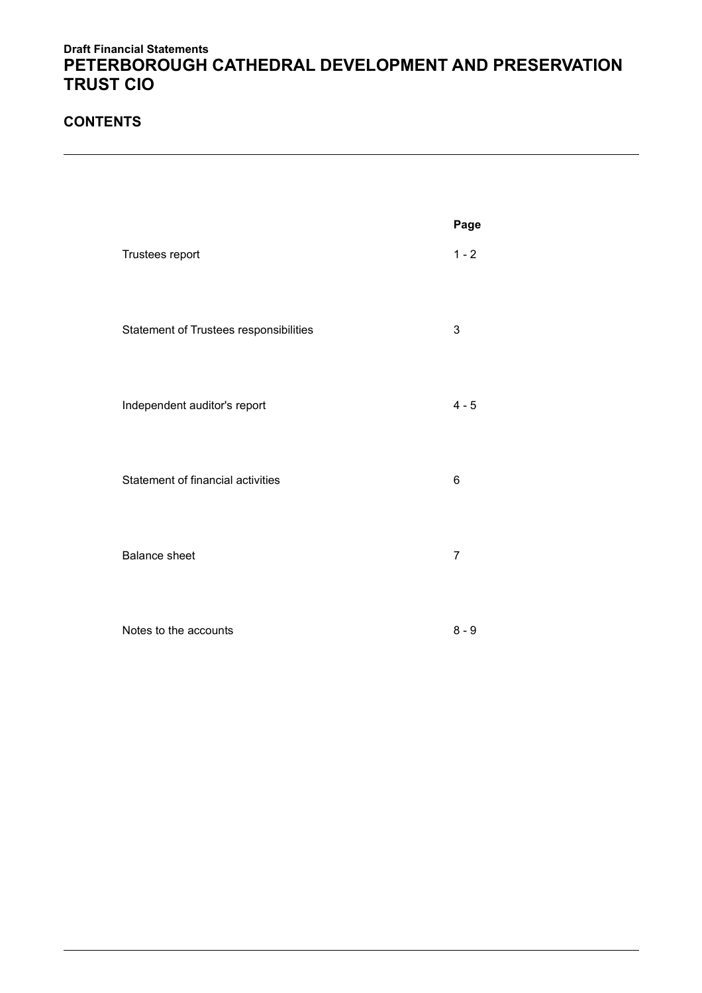### **CONTENTS**

|                                        | Page    |
|----------------------------------------|---------|
| Trustees report                        | $1 - 2$ |
| Statement of Trustees responsibilities | 3       |
| Independent auditor's report           | $4 - 5$ |
| Statement of financial activities      | 6       |
| <b>Balance sheet</b>                   | 7       |
| Notes to the accounts                  | $8 - 9$ |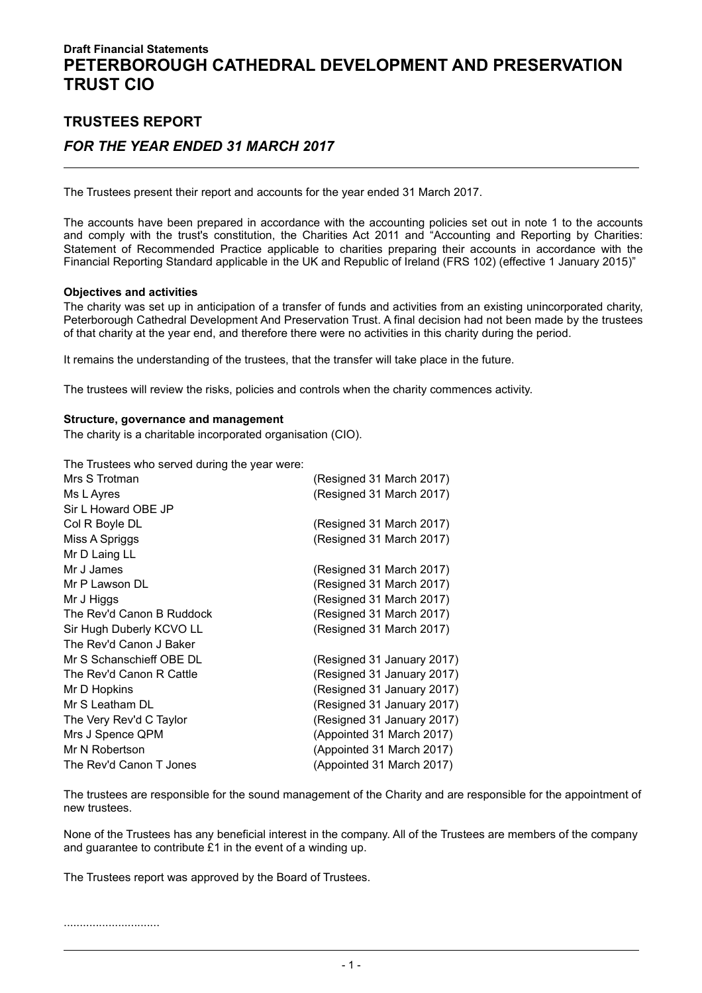# TRUSTEES REPORT FOR THE YEAR ENDED 31 MARCH 2017

The Trustees present their report and accounts for the year ended 31 March 2017.

The accounts have been prepared in accordance with the accounting policies set out in note 1 to the accounts and comply with the trust's constitution, the Charities Act 2011 and "Accounting and Reporting by Charities: Statement of Recommended Practice applicable to charities preparing their accounts in accordance with the Financial Reporting Standard applicable in the UK and Republic of Ireland (FRS 102) (effective 1 January 2015)"

#### Objectives and activities

The charity was set up in anticipation of a transfer of funds and activities from an existing unincorporated charity, Peterborough Cathedral Development And Preservation Trust. A final decision had not been made by the trustees of that charity at the year end, and therefore there were no activities in this charity during the period.

It remains the understanding of the trustees, that the transfer will take place in the future.

The trustees will review the risks, policies and controls when the charity commences activity.

#### Structure, governance and management

The charity is a charitable incorporated organisation (CIO).

The Trustees who served during the year were:

| (Resigned 31 March 2017)   |
|----------------------------|
| (Resigned 31 March 2017)   |
|                            |
| (Resigned 31 March 2017)   |
| (Resigned 31 March 2017)   |
|                            |
| (Resigned 31 March 2017)   |
| (Resigned 31 March 2017)   |
| (Resigned 31 March 2017)   |
| (Resigned 31 March 2017)   |
| (Resigned 31 March 2017)   |
|                            |
| (Resigned 31 January 2017) |
| (Resigned 31 January 2017) |
| (Resigned 31 January 2017) |
| (Resigned 31 January 2017) |
| (Resigned 31 January 2017) |
| (Appointed 31 March 2017)  |
| (Appointed 31 March 2017)  |
| (Appointed 31 March 2017)  |
|                            |

The trustees are responsible for the sound management of the Charity and are responsible for the appointment of new trustees.

None of the Trustees has any beneficial interest in the company. All of the Trustees are members of the company and guarantee to contribute £1 in the event of a winding up.

The Trustees report was approved by the Board of Trustees.

..............................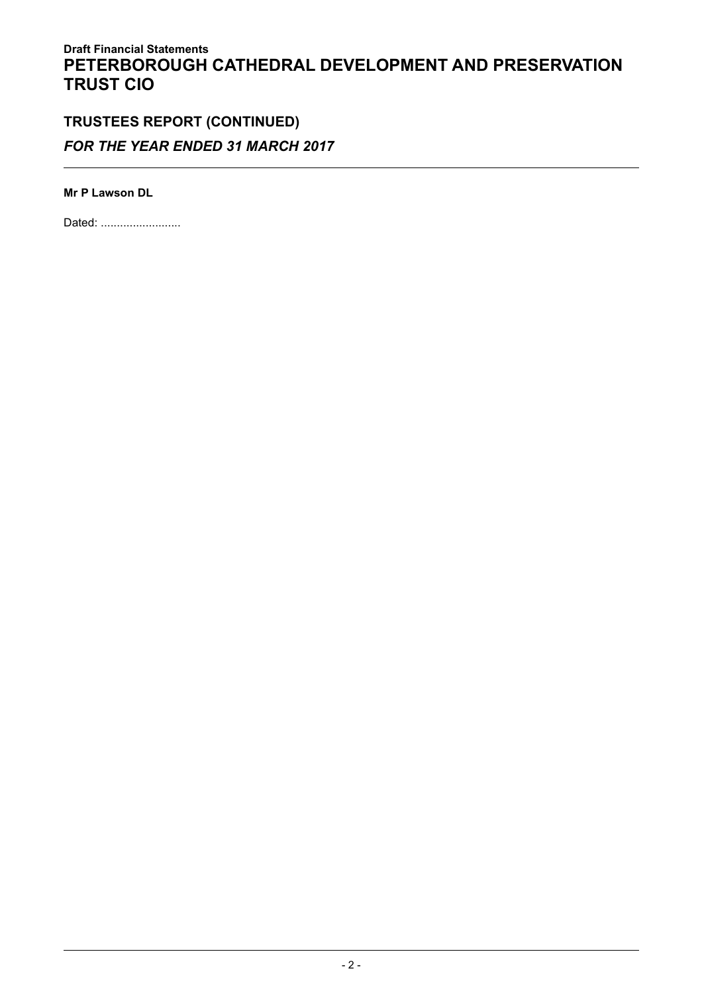# TRUSTEES REPORT (CONTINUED) FOR THE YEAR ENDED 31 MARCH 2017

Mr P Lawson DL

Dated: ..........................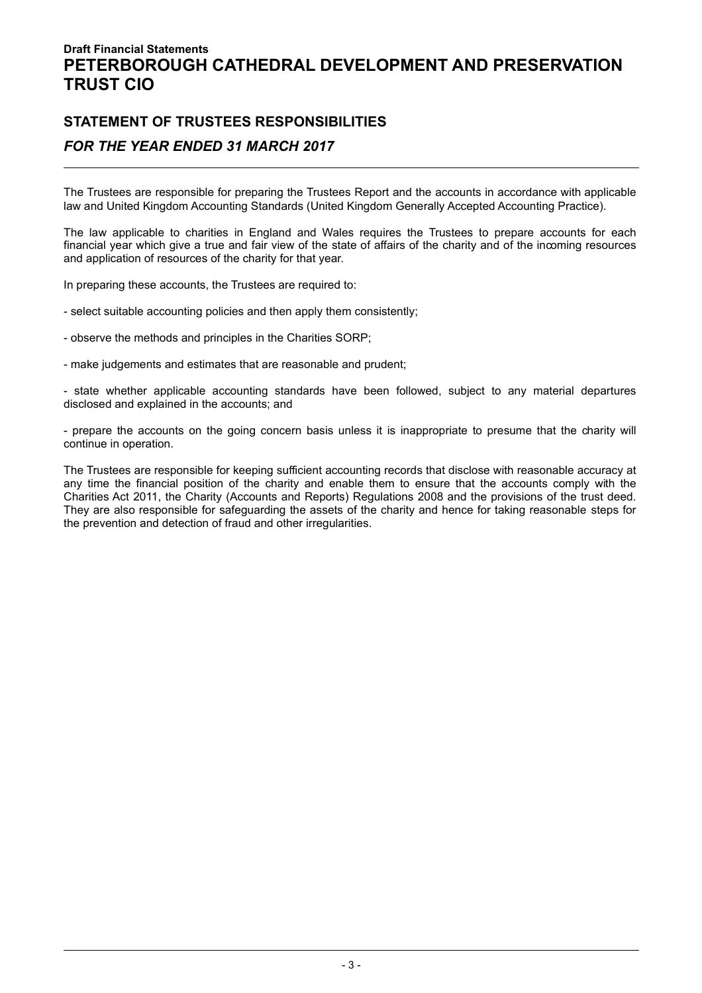# STATEMENT OF TRUSTEES RESPONSIBILITIES

### FOR THE YEAR ENDED 31 MARCH 2017

The Trustees are responsible for preparing the Trustees Report and the accounts in accordance with applicable law and United Kingdom Accounting Standards (United Kingdom Generally Accepted Accounting Practice).

The law applicable to charities in England and Wales requires the Trustees to prepare accounts for each financial year which give a true and fair view of the state of affairs of the charity and of the incoming resources and application of resources of the charity for that year.

In preparing these accounts, the Trustees are required to:

- select suitable accounting policies and then apply them consistently;
- observe the methods and principles in the Charities SORP;
- make judgements and estimates that are reasonable and prudent;

- state whether applicable accounting standards have been followed, subject to any material departures disclosed and explained in the accounts; and

- prepare the accounts on the going concern basis unless it is inappropriate to presume that the charity will continue in operation.

The Trustees are responsible for keeping sufficient accounting records that disclose with reasonable accuracy at any time the financial position of the charity and enable them to ensure that the accounts comply with the Charities Act 2011, the Charity (Accounts and Reports) Regulations 2008 and the provisions of the trust deed. They are also responsible for safeguarding the assets of the charity and hence for taking reasonable steps for the prevention and detection of fraud and other irregularities.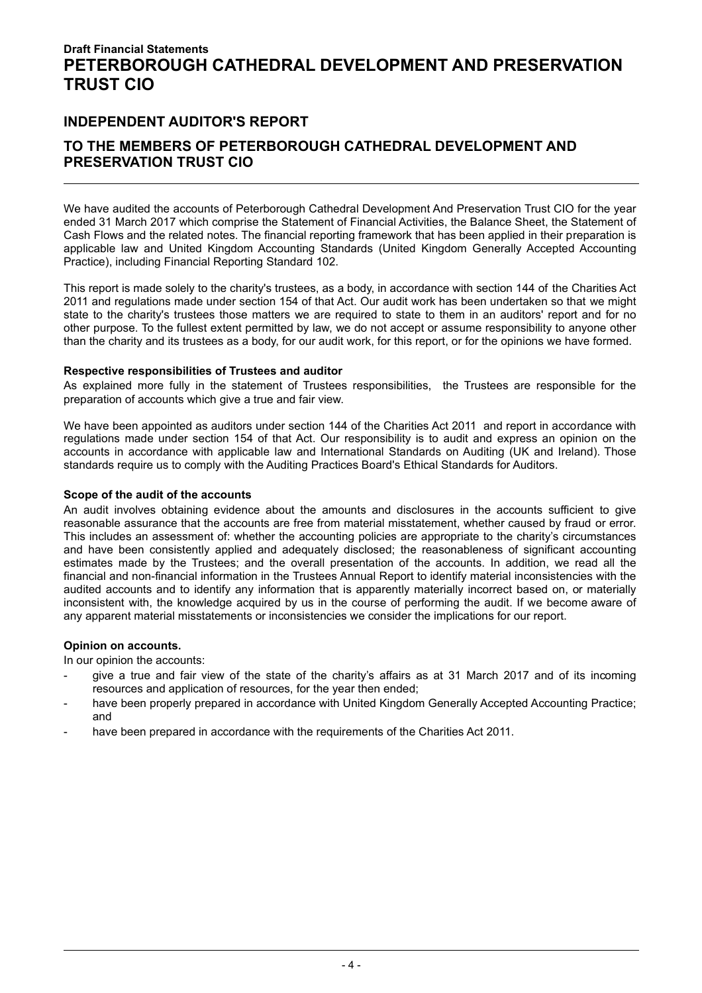### INDEPENDENT AUDITOR'S REPORT

### TO THE MEMBERS OF PETERBOROUGH CATHEDRAL DEVELOPMENT AND PRESERVATION TRUST CIO

We have audited the accounts of Peterborough Cathedral Development And Preservation Trust CIO for the year ended 31 March 2017 which comprise the Statement of Financial Activities, the Balance Sheet, the Statement of Cash Flows and the related notes. The financial reporting framework that has been applied in their preparation is applicable law and United Kingdom Accounting Standards (United Kingdom Generally Accepted Accounting Practice), including Financial Reporting Standard 102.

This report is made solely to the charity's trustees, as a body, in accordance with section 144 of the Charities Act 2011 and regulations made under section 154 of that Act. Our audit work has been undertaken so that we might state to the charity's trustees those matters we are required to state to them in an auditors' report and for no other purpose. To the fullest extent permitted by law, we do not accept or assume responsibility to anyone other than the charity and its trustees as a body, for our audit work, for this report, or for the opinions we have formed.

#### Respective responsibilities of Trustees and auditor

As explained more fully in the statement of Trustees responsibilities, the Trustees are responsible for the preparation of accounts which give a true and fair view.

We have been appointed as auditors under section 144 of the Charities Act 2011 and report in accordance with regulations made under section 154 of that Act. Our responsibility is to audit and express an opinion on the accounts in accordance with applicable law and International Standards on Auditing (UK and Ireland). Those standards require us to comply with the Auditing Practices Board's Ethical Standards for Auditors.

#### Scope of the audit of the accounts

An audit involves obtaining evidence about the amounts and disclosures in the accounts sufficient to give reasonable assurance that the accounts are free from material misstatement, whether caused by fraud or error. This includes an assessment of: whether the accounting policies are appropriate to the charity's circumstances and have been consistently applied and adequately disclosed; the reasonableness of significant accounting estimates made by the Trustees; and the overall presentation of the accounts. In addition, we read all the financial and non-financial information in the Trustees Annual Report to identify material inconsistencies with the audited accounts and to identify any information that is apparently materially incorrect based on, or materially inconsistent with, the knowledge acquired by us in the course of performing the audit. If we become aware of any apparent material misstatements or inconsistencies we consider the implications for our report.

#### Opinion on accounts.

In our opinion the accounts:

- give a true and fair view of the state of the charity's affairs as at 31 March 2017 and of its incoming resources and application of resources, for the year then ended;
- have been properly prepared in accordance with United Kingdom Generally Accepted Accounting Practice; and
- have been prepared in accordance with the requirements of the Charities Act 2011.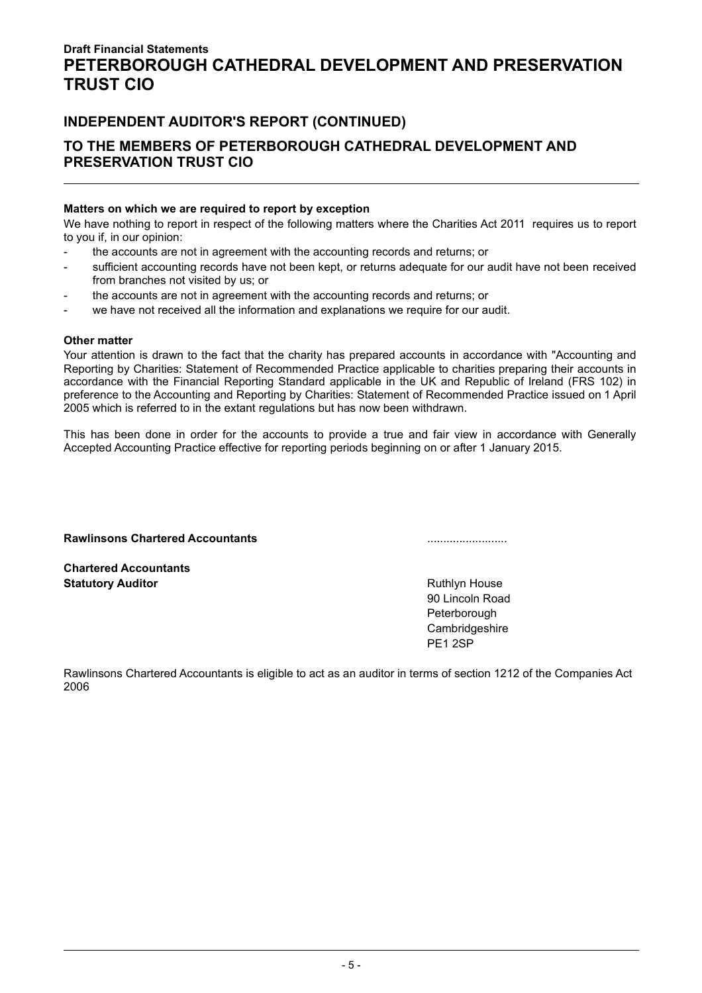### INDEPENDENT AUDITOR'S REPORT (CONTINUED)

### TO THE MEMBERS OF PETERBOROUGH CATHEDRAL DEVELOPMENT AND PRESERVATION TRUST CIO

#### Matters on which we are required to report by exception

We have nothing to report in respect of the following matters where the Charities Act 2011 requires us to report to you if, in our opinion:

- the accounts are not in agreement with the accounting records and returns; or
- sufficient accounting records have not been kept, or returns adequate for our audit have not been received from branches not visited by us; or
- the accounts are not in agreement with the accounting records and returns; or
- we have not received all the information and explanations we require for our audit.

#### Other matter

Your attention is drawn to the fact that the charity has prepared accounts in accordance with "Accounting and Reporting by Charities: Statement of Recommended Practice applicable to charities preparing their accounts in accordance with the Financial Reporting Standard applicable in the UK and Republic of Ireland (FRS 102) in preference to the Accounting and Reporting by Charities: Statement of Recommended Practice issued on 1 April 2005 which is referred to in the extant regulations but has now been withdrawn.

This has been done in order for the accounts to provide a true and fair view in accordance with Generally Accepted Accounting Practice effective for reporting periods beginning on or after 1 January 2015.

#### Rawlinsons Chartered Accountants .........................

Chartered Accountants **Statutory Auditor Community Community Community Community Community Community Community Community Community Community Community Community Community Community Community Community Community Community Community Community Com** 

90 Lincoln Road Peterborough **Cambridgeshire** PE1 2SP

Rawlinsons Chartered Accountants is eligible to act as an auditor in terms of section 1212 of the Companies Act 2006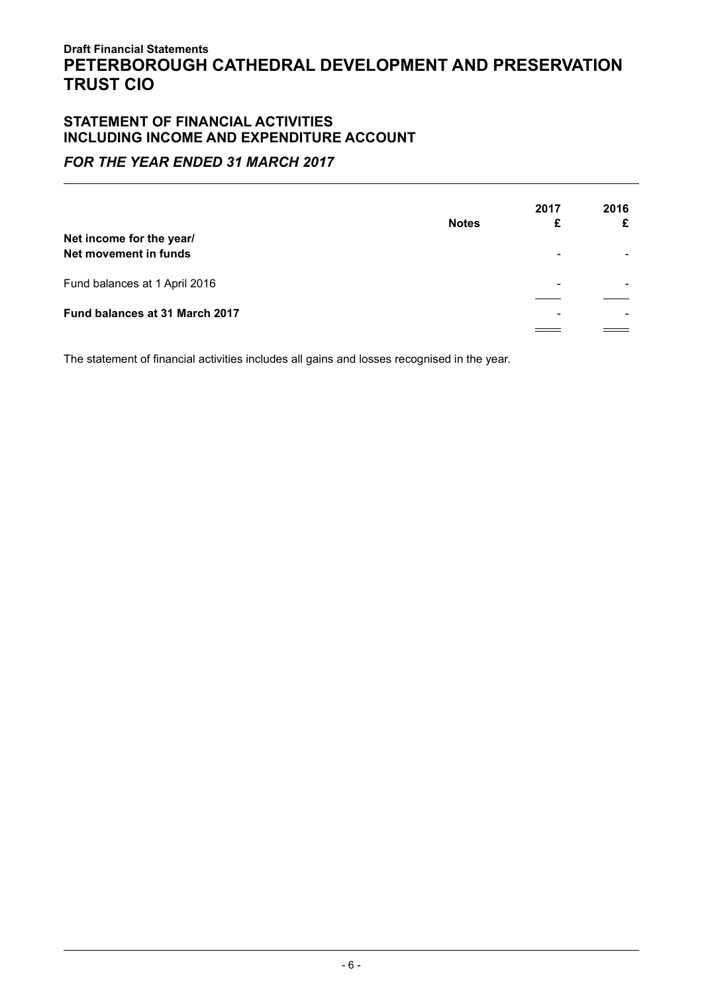### STATEMENT OF FINANCIAL ACTIVITIES INCLUDING INCOME AND EXPENDITURE ACCOUNT

### FOR THE YEAR ENDED 31 MARCH 2017

| Net income for the year/<br>Net movement in funds | <b>Notes</b> | 2017<br>£ | 2016 |
|---------------------------------------------------|--------------|-----------|------|
| Fund balances at 1 April 2016                     |              | ۰         |      |
| Fund balances at 31 March 2017                    |              |           |      |
|                                                   |              |           |      |

The statement of financial activities includes all gains and losses recognised in the year.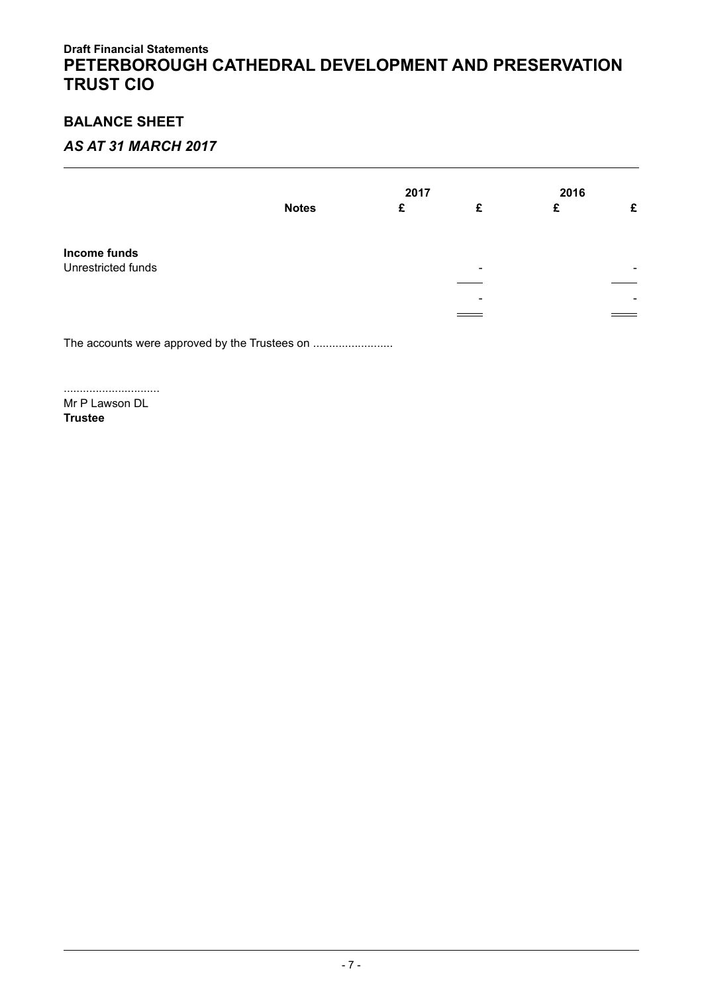# BALANCE SHEET

## AS AT 31 MARCH 2017

|                    |              | 2017 |                          | 2016 |   |
|--------------------|--------------|------|--------------------------|------|---|
|                    | <b>Notes</b> | £    | £                        | £    | £ |
| Income funds       |              |      |                          |      |   |
| Unrestricted funds |              |      | $\overline{\phantom{0}}$ |      | - |
|                    |              |      |                          |      |   |
|                    |              |      | -                        |      | - |
|                    |              |      |                          |      |   |

The accounts were approved by the Trustees on .........................

.............................. Mr P Lawson DL

Trustee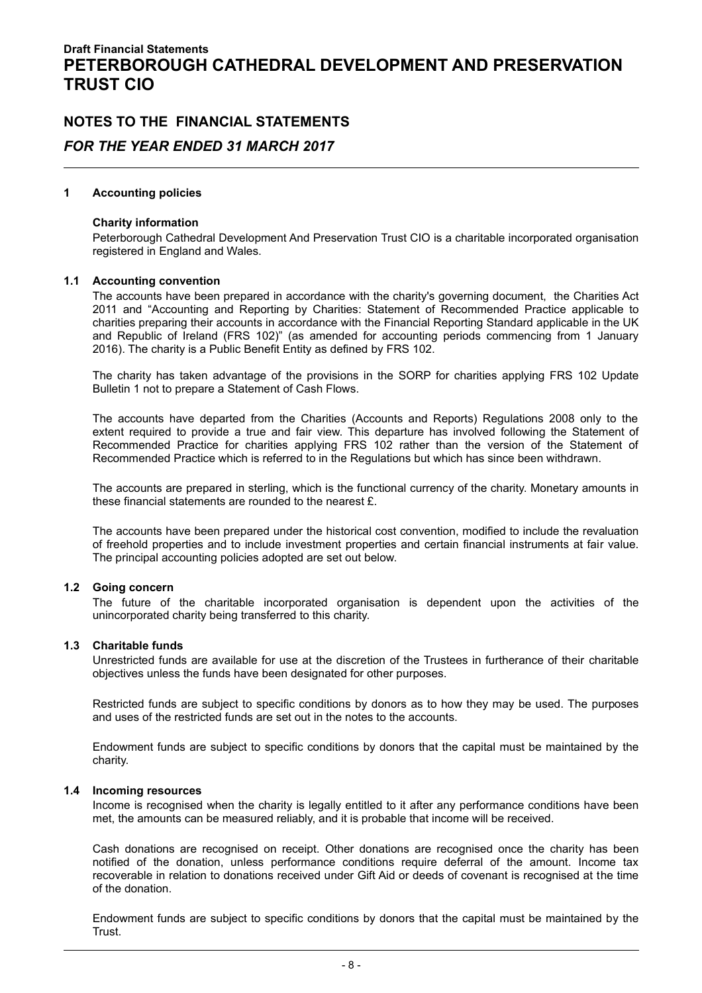# NOTES TO THE FINANCIAL STATEMENTS FOR THE YEAR ENDED 31 MARCH 2017

#### 1 Accounting policies

#### Charity information

Peterborough Cathedral Development And Preservation Trust CIO is a charitable incorporated organisation registered in England and Wales.

#### 1.1 Accounting convention

The accounts have been prepared in accordance with the charity's governing document, the Charities Act 2011 and "Accounting and Reporting by Charities: Statement of Recommended Practice applicable to charities preparing their accounts in accordance with the Financial Reporting Standard applicable in the UK and Republic of Ireland (FRS 102)" (as amended for accounting periods commencing from 1 January 2016). The charity is a Public Benefit Entity as defined by FRS 102.

The charity has taken advantage of the provisions in the SORP for charities applying FRS 102 Update Bulletin 1 not to prepare a Statement of Cash Flows.

The accounts have departed from the Charities (Accounts and Reports) Regulations 2008 only to the extent required to provide a true and fair view. This departure has involved following the Statement of Recommended Practice for charities applying FRS 102 rather than the version of the Statement of Recommended Practice which is referred to in the Regulations but which has since been withdrawn.

The accounts are prepared in sterling, which is the functional currency of the charity. Monetary amounts in these financial statements are rounded to the nearest £.

The accounts have been prepared under the historical cost convention, modified to include the revaluation of freehold properties and to include investment properties and certain financial instruments at fair value. The principal accounting policies adopted are set out below.

#### 1.2 Going concern

The future of the charitable incorporated organisation is dependent upon the activities of the unincorporated charity being transferred to this charity.

#### 1.3 Charitable funds

Unrestricted funds are available for use at the discretion of the Trustees in furtherance of their charitable objectives unless the funds have been designated for other purposes.

Restricted funds are subject to specific conditions by donors as to how they may be used. The purposes and uses of the restricted funds are set out in the notes to the accounts.

Endowment funds are subject to specific conditions by donors that the capital must be maintained by the charity.

#### 1.4 Incoming resources

Income is recognised when the charity is legally entitled to it after any performance conditions have been met, the amounts can be measured reliably, and it is probable that income will be received.

Cash donations are recognised on receipt. Other donations are recognised once the charity has been notified of the donation, unless performance conditions require deferral of the amount. Income tax recoverable in relation to donations received under Gift Aid or deeds of covenant is recognised at the time of the donation.

Endowment funds are subject to specific conditions by donors that the capital must be maintained by the Trust.